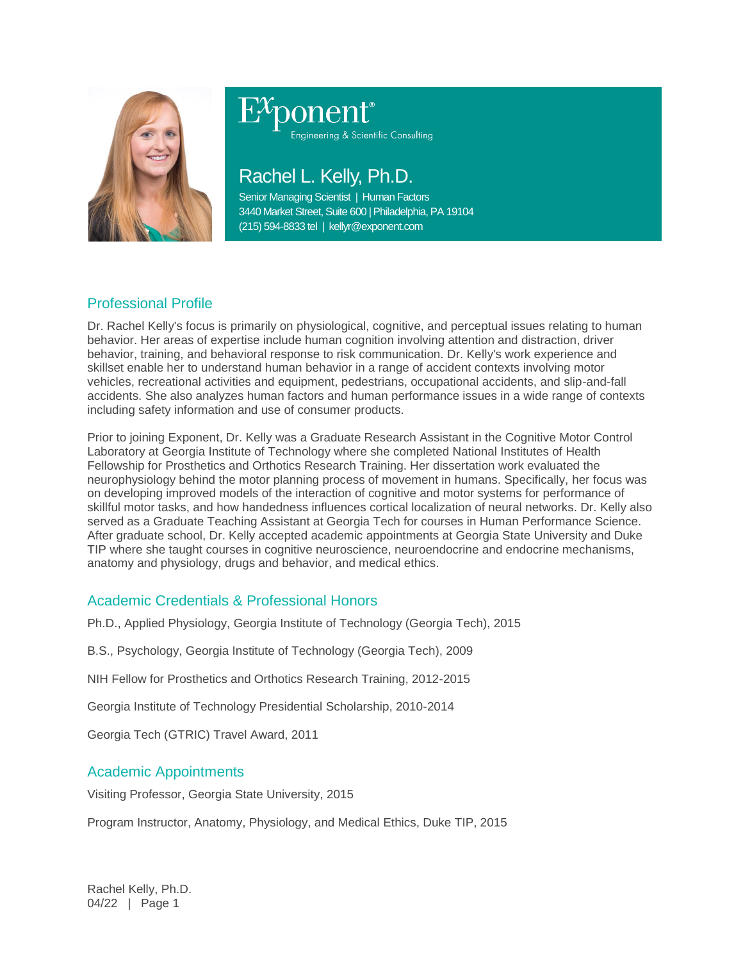

# Engineering & Scientific Consulting

## Rachel L. Kelly, Ph.D.

Senior Managing Scientist | Human Factors 3440 Market Street, Suite 600 | Philadelphia, PA 19104 (215) 594-8833 tel | kellyr@exponent.com

### Professional Profile

Dr. Rachel Kelly's focus is primarily on physiological, cognitive, and perceptual issues relating to human behavior. Her areas of expertise include human cognition involving attention and distraction, driver behavior, training, and behavioral response to risk communication. Dr. Kelly's work experience and skillset enable her to understand human behavior in a range of accident contexts involving motor vehicles, recreational activities and equipment, pedestrians, occupational accidents, and slip-and-fall accidents. She also analyzes human factors and human performance issues in a wide range of contexts including safety information and use of consumer products.

Prior to joining Exponent, Dr. Kelly was a Graduate Research Assistant in the Cognitive Motor Control Laboratory at Georgia Institute of Technology where she completed National Institutes of Health Fellowship for Prosthetics and Orthotics Research Training. Her dissertation work evaluated the neurophysiology behind the motor planning process of movement in humans. Specifically, her focus was on developing improved models of the interaction of cognitive and motor systems for performance of skillful motor tasks, and how handedness influences cortical localization of neural networks. Dr. Kelly also served as a Graduate Teaching Assistant at Georgia Tech for courses in Human Performance Science. After graduate school, Dr. Kelly accepted academic appointments at Georgia State University and Duke TIP where she taught courses in cognitive neuroscience, neuroendocrine and endocrine mechanisms, anatomy and physiology, drugs and behavior, and medical ethics.

#### Academic Credentials & Professional Honors

Ph.D., Applied Physiology, Georgia Institute of Technology (Georgia Tech), 2015

B.S., Psychology, Georgia Institute of Technology (Georgia Tech), 2009

NIH Fellow for Prosthetics and Orthotics Research Training, 2012-2015

Georgia Institute of Technology Presidential Scholarship, 2010-2014

Georgia Tech (GTRIC) Travel Award, 2011

#### Academic Appointments

Visiting Professor, Georgia State University, 2015

Program Instructor, Anatomy, Physiology, and Medical Ethics, Duke TIP, 2015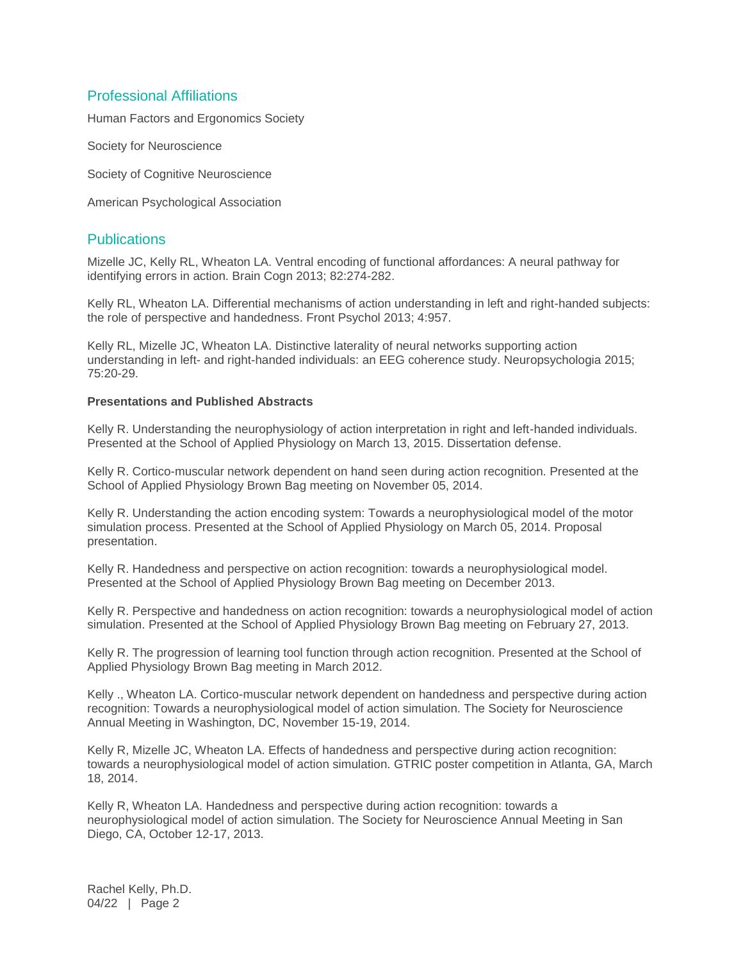#### Professional Affiliations

Human Factors and Ergonomics Society

Society for Neuroscience

Society of Cognitive Neuroscience

American Psychological Association

#### **Publications**

Mizelle JC, Kelly RL, Wheaton LA. Ventral encoding of functional affordances: A neural pathway for identifying errors in action. Brain Cogn 2013; 82:274-282.

Kelly RL, Wheaton LA. Differential mechanisms of action understanding in left and right-handed subjects: the role of perspective and handedness. Front Psychol 2013; 4:957.

Kelly RL, Mizelle JC, Wheaton LA. Distinctive laterality of neural networks supporting action understanding in left- and right-handed individuals: an EEG coherence study. Neuropsychologia 2015; 75:20-29.

#### **Presentations and Published Abstracts**

Kelly R. Understanding the neurophysiology of action interpretation in right and left-handed individuals. Presented at the School of Applied Physiology on March 13, 2015. Dissertation defense.

Kelly R. Cortico-muscular network dependent on hand seen during action recognition. Presented at the School of Applied Physiology Brown Bag meeting on November 05, 2014.

Kelly R. Understanding the action encoding system: Towards a neurophysiological model of the motor simulation process. Presented at the School of Applied Physiology on March 05, 2014. Proposal presentation.

Kelly R. Handedness and perspective on action recognition: towards a neurophysiological model. Presented at the School of Applied Physiology Brown Bag meeting on December 2013.

Kelly R. Perspective and handedness on action recognition: towards a neurophysiological model of action simulation. Presented at the School of Applied Physiology Brown Bag meeting on February 27, 2013.

Kelly R. The progression of learning tool function through action recognition. Presented at the School of Applied Physiology Brown Bag meeting in March 2012.

Kelly ., Wheaton LA. Cortico-muscular network dependent on handedness and perspective during action recognition: Towards a neurophysiological model of action simulation. The Society for Neuroscience Annual Meeting in Washington, DC, November 15-19, 2014.

Kelly R, Mizelle JC, Wheaton LA. Effects of handedness and perspective during action recognition: towards a neurophysiological model of action simulation. GTRIC poster competition in Atlanta, GA, March 18, 2014.

Kelly R, Wheaton LA. Handedness and perspective during action recognition: towards a neurophysiological model of action simulation. The Society for Neuroscience Annual Meeting in San Diego, CA, October 12-17, 2013.

Rachel Kelly, Ph.D. 04/22 | Page 2